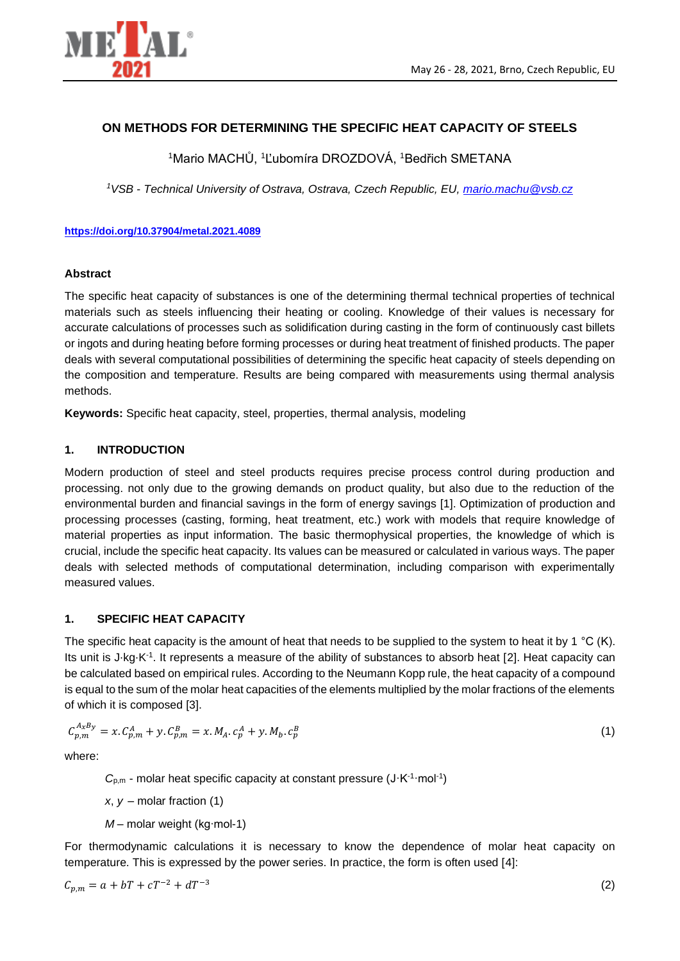

# **ON METHODS FOR DETERMINING THE SPECIFIC HEAT CAPACITY OF STEELS**

<sup>1</sup>Mario MACHŮ, <sup>1</sup>Ľubomíra DROZDOVÁ, <sup>1</sup>Bedřich SMETANA

*<sup>1</sup>VSB - Technical University of Ostrava, Ostrava, Czech Republic, EU, [mario.machu@vsb.cz](mailto:mario.machu@vsb.cz)*

#### **<https://doi.org/10.37904/metal.2021.4089>**

#### **Abstract**

The specific heat capacity of substances is one of the determining thermal technical properties of technical materials such as steels influencing their heating or cooling. Knowledge of their values is necessary for accurate calculations of processes such as solidification during casting in the form of continuously cast billets or ingots and during heating before forming processes or during heat treatment of finished products. The paper deals with several computational possibilities of determining the specific heat capacity of steels depending on the composition and temperature. Results are being compared with measurements using thermal analysis methods.

**Keywords:** Specific heat capacity, steel, properties, thermal analysis, modeling

### **1. INTRODUCTION**

Modern production of steel and steel products requires precise process control during production and processing. not only due to the growing demands on product quality, but also due to the reduction of the environmental burden and financial savings in the form of energy savings [1]. Optimization of production and processing processes (casting, forming, heat treatment, etc.) work with models that require knowledge of material properties as input information. The basic thermophysical properties, the knowledge of which is crucial, include the specific heat capacity. Its values can be measured or calculated in various ways. The paper deals with selected methods of computational determination, including comparison with experimentally measured values.

## **1. SPECIFIC HEAT CAPACITY**

The specific heat capacity is the amount of heat that needs to be supplied to the system to heat it by 1 °C (K). Its unit is J⋅kg⋅K<sup>-1</sup>. It represents a measure of the ability of substances to absorb heat [2]. Heat capacity can be calculated based on empirical rules. According to the Neumann Kopp rule, the heat capacity of a compound is equal to the sum of the molar heat capacities of the elements multiplied by the molar fractions of the elements of which it is composed [3].

$$
C_{p,m}^{A_x B_y} = x. C_{p,m}^A + y. C_{p,m}^B = x. M_A. c_p^A + y. M_b. c_p^B
$$
\n(1)

where:

 $C_{p,m}$  - molar heat specific capacity at constant pressure  $(J \cdot K^{-1} \cdot mol^{-1})$ 

 $x, y$  – molar fraction (1)

*M* – molar weight (kg⋅mol-1)

For thermodynamic calculations it is necessary to know the dependence of molar heat capacity on temperature. This is expressed by the power series. In practice, the form is often used [4]:

$$
C_{p,m} = a + bT + cT^{-2} + dT^{-3}
$$
 (2)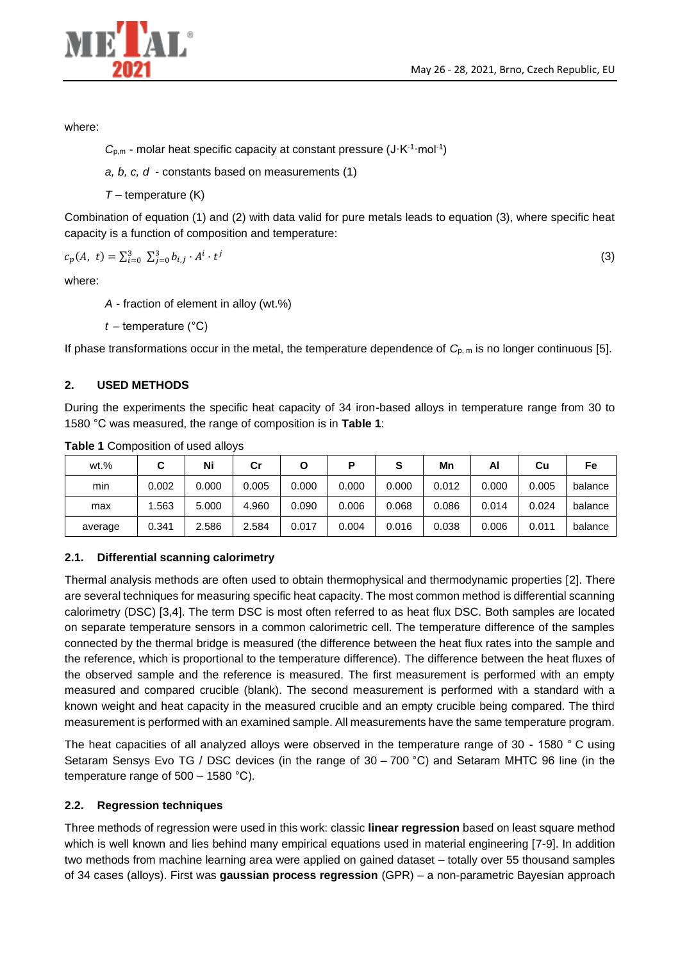(3)



where:

 $C_{p,m}$  - molar heat specific capacity at constant pressure  $(J \cdot K^{-1} \cdot mol^{-1})$ 

*a, b, c, d* - constants based on measurements (1)

*T* – temperature (K)

Combination of equation (1) and (2) with data valid for pure metals leads to equation (3), where specific heat capacity is a function of composition and temperature:

$$
c_p(A, t) = \sum_{i=0}^{3} \sum_{j=0}^{3} b_{i,j} \cdot A^i \cdot t^j
$$

where:

*A* - fraction of element in alloy (wt.%)

*t* – temperature (°C)

If phase transformations occur in the metal, the temperature dependence of  $C_{p,m}$  is no longer continuous [5].

#### **2. USED METHODS**

During the experiments the specific heat capacity of 34 iron-based alloys in temperature range from 30 to 1580 °C was measured, the range of composition is in **Table 1**:

| $wt.$ % |       | Ni    | Сr    |       |       | S     | Mn    | Al    | Cu    | Fe      |
|---------|-------|-------|-------|-------|-------|-------|-------|-------|-------|---------|
| min     | 0.002 | 0.000 | 0.005 | 0.000 | 0.000 | 0.000 | 0.012 | 0.000 | 0.005 | balance |
| max     | .563  | 5.000 | 4.960 | 0.090 | 0.006 | 0.068 | 0.086 | 0.014 | 0.024 | balance |
| average | 0.341 | 2.586 | 2.584 | 0.017 | 0.004 | 0.016 | 0.038 | 0.006 | 0.011 | balance |

**Table 1** Composition of used alloys

## **2.1. Differential scanning calorimetry**

Thermal analysis methods are often used to obtain thermophysical and thermodynamic properties [2]. There are several techniques for measuring specific heat capacity. The most common method is differential scanning calorimetry (DSC) [3,4]. The term DSC is most often referred to as heat flux DSC. Both samples are located on separate temperature sensors in a common calorimetric cell. The temperature difference of the samples connected by the thermal bridge is measured (the difference between the heat flux rates into the sample and the reference, which is proportional to the temperature difference). The difference between the heat fluxes of the observed sample and the reference is measured. The first measurement is performed with an empty measured and compared crucible (blank). The second measurement is performed with a standard with a known weight and heat capacity in the measured crucible and an empty crucible being compared. The third measurement is performed with an examined sample. All measurements have the same temperature program.

The heat capacities of all analyzed alloys were observed in the temperature range of 30 - 1580 ° C using Setaram Sensys Evo TG / DSC devices (in the range of 30 – 700 °C) and Setaram MHTC 96 line (in the temperature range of 500 – 1580 °C).

## **2.2. Regression techniques**

Three methods of regression were used in this work: classic **linear regression** based on least square method which is well known and lies behind many empirical equations used in material engineering [7-9]. In addition two methods from machine learning area were applied on gained dataset – totally over 55 thousand samples of 34 cases (alloys). First was **gaussian process regression** (GPR) – a non-parametric Bayesian approach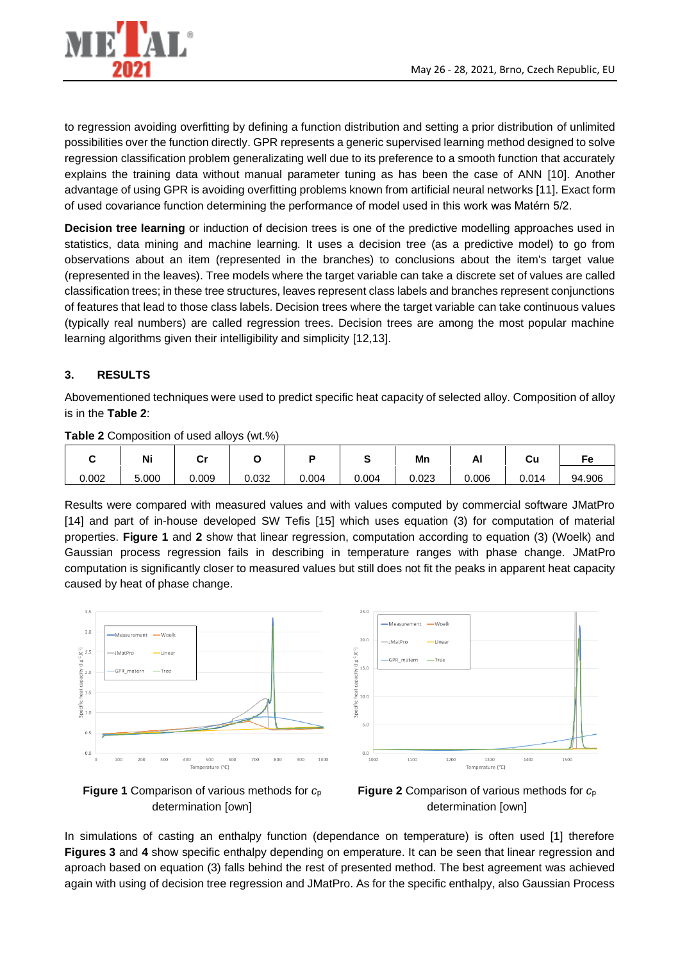

to regression avoiding overfitting by defining a function distribution and setting a prior distribution of unlimited possibilities over the function directly. GPR represents a generic supervised learning method designed to solve regression classification problem generalizating well due to its preference to a smooth function that accurately explains the training data without manual parameter tuning as has been the case of ANN [10]. Another advantage of using GPR is avoiding overfitting problems known from artificial neural networks [11]. Exact form of used covariance function determining the performance of model used in this work was Matérn 5/2.

**Decision tree learning** or induction of decision trees is one of the predictive modelling approaches used in statistics, data mining and machine learning. It uses a decision tree (as a predictive model) to go from observations about an item (represented in the branches) to conclusions about the item's target value (represented in the leaves). Tree models where the target variable can take a discrete set of values are called classification trees; in these tree structures, leaves represent class labels and branches represent conjunctions of features that lead to those class labels. Decision trees where the target variable can take continuous values (typically real numbers) are called regression trees. Decision trees are among the most popular machine learning algorithms given their intelligibility and simplicity [12,13].

# **3. RESULTS**

Abovementioned techniques were used to predict specific heat capacity of selected alloy. Composition of alloy is in the **Table 2**:

| $\frac{1}{2}$ and $\frac{1}{2}$ by $\frac{1}{2}$ and $\frac{1}{2}$ and $\frac{1}{2}$ and $\frac{1}{2}$ and $\frac{1}{2}$ and $\frac{1}{2}$ |       |       |       |       |        |       |       |       |        |
|--------------------------------------------------------------------------------------------------------------------------------------------|-------|-------|-------|-------|--------|-------|-------|-------|--------|
|                                                                                                                                            | Ni    | י     |       |       |        | Mn    | ΔI    | Cu    |        |
| 0.002                                                                                                                                      | 5.000 | 0.009 | 0.032 | 0.004 | 004. ل | 0.023 | 0.006 | 0.014 | 94.906 |

**Table 2** Composition of used alloys (wt.%)

Results were compared with measured values and with values computed by commercial software JMatPro [14] and part of in-house developed SW Tefis [15] which uses equation (3) for computation of material properties. **Figure 1** and **2** show that linear regression, computation according to equation (3) (Woelk) and Gaussian process regression fails in describing in temperature ranges with phase change. JMatPro computation is significantly closer to measured values but still does not fit the peaks in apparent heat capacity caused by heat of phase change.







**Figure 2** Comparison of various methods for *c*<sup>p</sup> determination [own]

In simulations of casting an enthalpy function (dependance on temperature) is often used [1] therefore **Figures 3** and **4** show specific enthalpy depending on emperature. It can be seen that linear regression and aproach based on equation (3) falls behind the rest of presented method. The best agreement was achieved again with using of decision tree regression and JMatPro. As for the specific enthalpy, also Gaussian Process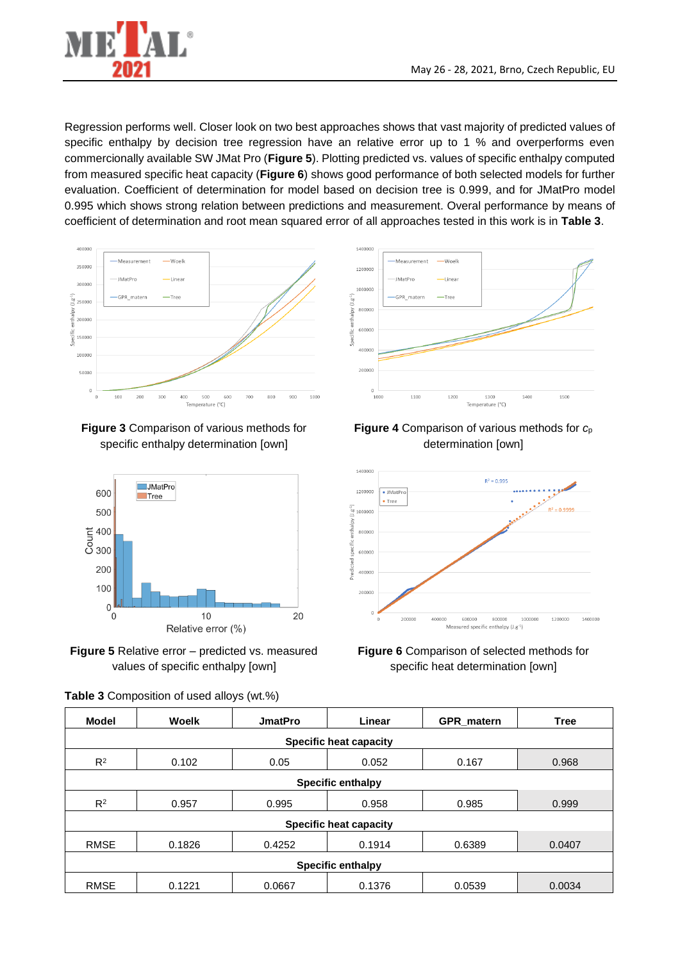

Regression performs well. Closer look on two best approaches shows that vast majority of predicted values of specific enthalpy by decision tree regression have an relative error up to 1 % and overperforms even commercionally available SW JMat Pro (**Figure 5**). Plotting predicted vs. values of specific enthalpy computed from measured specific heat capacity (**Figure 6**) shows good performance of both selected models for further evaluation. Coefficient of determination for model based on decision tree is 0.999, and for JMatPro model 0.995 which shows strong relation between predictions and measurement. Overal performance by means of coefficient of determination and root mean squared error of all approaches tested in this work is in **Table 3**.



**Figure 3** Comparison of various methods for specific enthalpy determination [own]



**Figure 5** Relative error – predicted vs. measured values of specific enthalpy [own]

|  | Table 3 Composition of used alloys (wt.%) |  |  |  |  |
|--|-------------------------------------------|--|--|--|--|
|--|-------------------------------------------|--|--|--|--|







**Figure 6** Comparison of selected methods for specific heat determination [own]

| Model<br>Woelk                |                          | <b>JmatPro</b> | Linear | <b>GPR</b> matern | <b>Tree</b> |  |  |  |  |
|-------------------------------|--------------------------|----------------|--------|-------------------|-------------|--|--|--|--|
| <b>Specific heat capacity</b> |                          |                |        |                   |             |  |  |  |  |
| $R^2$<br>0.102                |                          | 0.05           | 0.052  | 0.167             | 0.968       |  |  |  |  |
|                               | <b>Specific enthalpy</b> |                |        |                   |             |  |  |  |  |
| $R^2$<br>0.957                |                          | 0.995          | 0.958  | 0.985             | 0.999       |  |  |  |  |
| <b>Specific heat capacity</b> |                          |                |        |                   |             |  |  |  |  |
| <b>RMSE</b>                   | 0.1826                   | 0.4252         | 0.1914 | 0.6389            | 0.0407      |  |  |  |  |
| <b>Specific enthalpy</b>      |                          |                |        |                   |             |  |  |  |  |
| <b>RMSE</b>                   | 0.1221                   | 0.0667         | 0.1376 | 0.0539            | 0.0034      |  |  |  |  |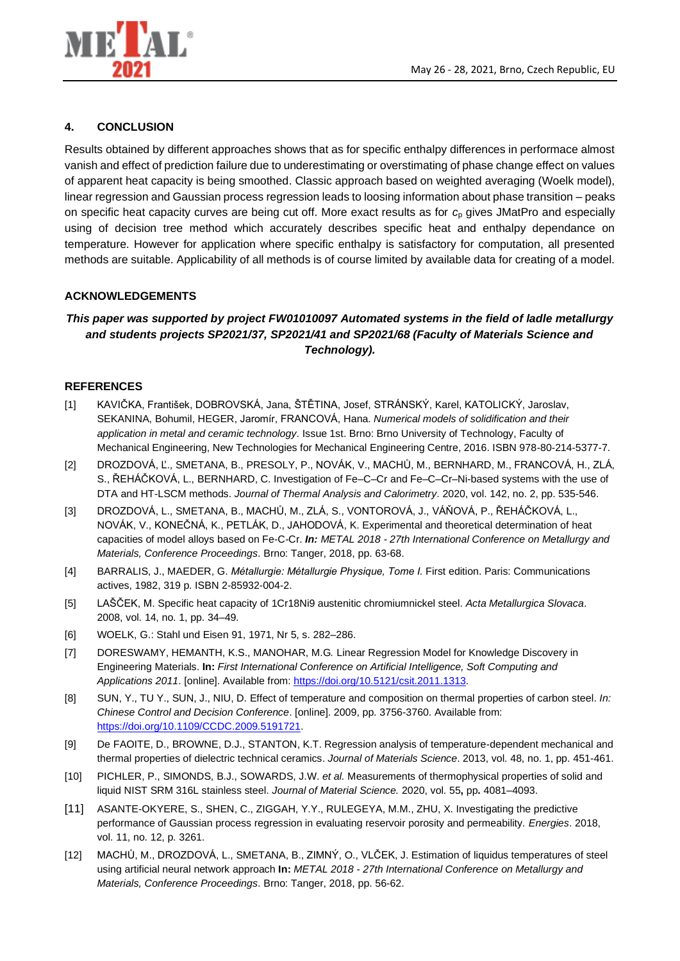

## **4. CONCLUSION**

Results obtained by different approaches shows that as for specific enthalpy differences in performace almost vanish and effect of prediction failure due to underestimating or overstimating of phase change effect on values of apparent heat capacity is being smoothed. Classic approach based on weighted averaging (Woelk model), linear regression and Gaussian process regression leads to loosing information about phase transition – peaks on specific heat capacity curves are being cut off. More exact results as for *c*<sup>p</sup> gives JMatPro and especially using of decision tree method which accurately describes specific heat and enthalpy dependance on temperature. However for application where specific enthalpy is satisfactory for computation, all presented methods are suitable. Applicability of all methods is of course limited by available data for creating of a model.

## **ACKNOWLEDGEMENTS**

# *This paper was supported by project FW01010097 Automated systems in the field of ladle metallurgy and students projects SP2021/37, SP2021/41 and SP2021/68 (Faculty of Materials Science and Technology).*

#### **REFERENCES**

- [1] KAVIČKA, František, DOBROVSKÁ, Jana, ŠTĚTINA, Josef, STRÁNSKÝ, Karel, KATOLICKÝ, Jaroslav, SEKANINA, Bohumil, HEGER, Jaromír, FRANCOVÁ, Hana. *Numerical models of solidification and their application in metal and ceramic technology*. Issue 1st. Brno: Brno University of Technology, Faculty of Mechanical Engineering, New Technologies for Mechanical Engineering Centre, 2016. ISBN 978-80-214-5377-7.
- [2] DROZDOVÁ, Ľ., SMETANA, B., PRESOLY, P., NOVÁK, V., MACHŮ, M., BERNHARD, M., FRANCOVÁ, H., ZLÁ, S., ŘEHÁČKOVÁ, L., BERNHARD, C. Investigation of Fe–C–Cr and Fe–C–Cr–Ni-based systems with the use of DTA and HT-LSCM methods. *Journal of Thermal Analysis and Calorimetry*. 2020, vol. 142, no. 2, pp. 535-546.
- [3] DROZDOVÁ, L., SMETANA, B., MACHŮ, M., ZLÁ, S., VONTOROVÁ, J., VÁŇOVÁ, P., ŘEHÁČKOVÁ, L., NOVÁK, V., KONEČNÁ, K., PETLÁK, D., JAHODOVÁ, K. Experimental and theoretical determination of heat capacities of model alloys based on Fe-C-Cr. *In: METAL 2018 - 27th International Conference on Metallurgy and Materials, Conference Proceedings*. Brno: Tanger, 2018, pp. 63-68.
- [4] BARRALIS, J., MAEDER, G. *Métallurgie: Métallurgie Physique, Tome I.* First edition. Paris: Communications actives, 1982, 319 p. ISBN 2-85932-004-2.
- [5] LAŠČEK, M. Specific heat capacity of 1Cr18Ni9 austenitic chromiumnickel steel. *Acta Metallurgica Slovaca*. 2008, vol. 14, no. 1, pp. 34–49.
- [6] WOELK, G.: Stahl und Eisen 91, 1971, Nr 5, s. 282–286.
- [7] DORESWAMY, HEMANTH, K.S., MANOHAR, M.G*.* Linear Regression Model for Knowledge Discovery in Engineering Materials. **In:** *First International Conference on Artificial Intelligence, Soft Computing and Applications 2011*. [online]. Available from: [https://doi.org/10.5121/csit.2011.1313.](https://doi.org/10.5121/csit.2011.1313)
- [8] SUN, Y., TU Y., SUN, J., NIU, D. Effect of temperature and composition on thermal properties of carbon steel. *In: Chinese Control and Decision Conference*. [online]. 2009, pp. 3756-3760. Available from: [https://doi.org/10.1109/CCDC.2009.5191721.](https://doi.org/10.1109/CCDC.2009.5191721)
- [9] De FAOITE, D., BROWNE, D.J., STANTON, K.T. Regression analysis of temperature-dependent mechanical and thermal properties of dielectric technical ceramics. *Journal of Materials Science*. 2013, vol. 48, no. 1, pp. 451-461.
- [10] PICHLER, P., SIMONDS, B.J., SOWARDS, J.W. *et al.* Measurements of thermophysical properties of solid and liquid NIST SRM 316L stainless steel. *Journal of Material Science.* 2020, vol. 55**,** pp**.** 4081–4093.
- [11] ASANTE-OKYERE, S., SHEN, C., ZIGGAH, Y.Y., RULEGEYA, M.M., ZHU, X. Investigating the predictive performance of Gaussian process regression in evaluating reservoir porosity and permeability. *Energies*. 2018, vol. 11, no. 12, p. 3261.
- [12] MACHŮ, M., DROZDOVÁ, L., SMETANA, B., ZIMNÝ, O., VLČEK, J. Estimation of liquidus temperatures of steel using artificial neural network approach **In:** *METAL 2018 - 27th International Conference on Metallurgy and Materials, Conference Proceedings*. Brno: Tanger, 2018, pp. 56-62.